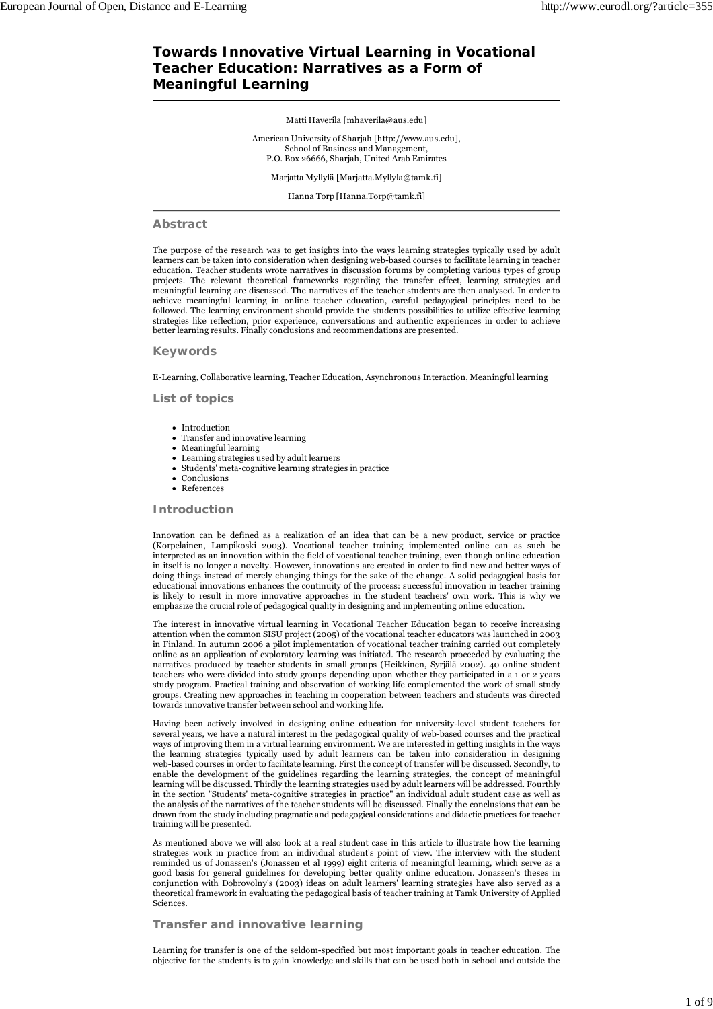# **Towards Innovative Virtual Learning in Vocational Teacher Education: Narratives as a Form of Meaningful Learning**

Matti Haverila [mhaverila@aus.edu]

American University of Sharjah [http://www.aus.edu], School of Business and Management, P.O. Box 26666, Sharjah, United Arab Emirates

Marjatta Myllylä [Marjatta.Myllyla@tamk.fi]

Hanna Torp [Hanna.Torp@tamk.fi]

### **Abstract**

The purpose of the research was to get insights into the ways learning strategies typically used by adult learners can be taken into consideration when designing web-based courses to facilitate learning in teacher education. Teacher students wrote narratives in discussion forums by completing various types of group projects. The relevant theoretical frameworks regarding the transfer effect, learning strategies and meaningful learning are discussed. The narratives of the teacher students are then analysed. In order to achieve meaningful learning in online teacher education, careful pedagogical principles need to be followed. The learning environment should provide the students possibilities to utilize effective learning strategies like reflection, prior experience, conversations and authentic experiences in order to achieve better learning results. Finally conclusions and recommendations are presented.

### **Keywords**

E-Learning, Collaborative learning, Teacher Education, Asynchronous Interaction, Meaningful learning

**List of topics**

- Introduction
- Transfer and innovative learning
- Meaningful learning Learning strategies used by adult learners
- Students' meta-cognitive learning strategies in practice
- Conclusions
- References

**Introduction**

Innovation can be defined as a realization of an idea that can be a new product, service or practice (Korpelainen, Lampikoski 2003). Vocational teacher training implemented online can as such be interpreted as an innovation within the field of vocational teacher training, even though online education in itself is no longer a novelty. However, innovations are created in order to find new and better ways of doing things instead of merely changing things for the sake of the change. A solid pedagogical basis for educational innovations enhances the continuity of the process: successful innovation in teacher training is likely to result in more innovative approaches in the student teachers' own work. This is why we emphasize the crucial role of pedagogical quality in designing and implementing online education.

The interest in innovative virtual learning in Vocational Teacher Education began to receive increasing attention when the common SISU project (2005) of the vocational teacher educators was launched in 2003 in Finland. In autumn 2006 a pilot implementation of vocational teacher training carried out completely online as an application of exploratory learning was initiated. The research proceeded by evaluating the narratives produced by teacher students in small groups (Heikkinen, Syrjälä 2002). 40 online student teachers who were divided into study groups depending upon whether they participated in a 1 or 2 years study program. Practical training and observation of working life complemented the work of small study groups. Creating new approaches in teaching in cooperation between teachers and students was directed towards innovative transfer between school and working life.

Having been actively involved in designing online education for university-level student teachers for several years, we have a natural interest in the pedagogical quality of web-based courses and the practical ways of improving them in a virtual learning environment. We are interested in getting insights in the ways the learning strategies typically used by adult learners can be taken into consideration in designing web-based courses in order to facilitate learning. First the concept of transfer will be discussed. Secondly, to enable the development of the guidelines regarding the learning strategies, the concept of meaningful learning will be discussed. Thirdly the learning strategies used by adult learners will be addressed. Fourthly in the section "Students' meta-cognitive strategies in practice" an individual adult student case as well as the analysis of the narratives of the teacher students will be discussed. Finally the conclusions that can be drawn from the study including pragmatic and pedagogical considerations and didactic practices for teacher training will be presented.

As mentioned above we will also look at a real student case in this article to illustrate how the learning strategies work in practice from an individual student's point of view. The interview with the student reminded us of Jonassen's (Jonassen et al 1999) eight criteria of meaningful learning, which serve as a good basis for general guidelines for developing better quality online education. Jonassen's theses in conjunction with Dobrovolny's (2003) ideas on adult learners' learning strategies have also served as a theoretical framework in evaluating the pedagogical basis of teacher training at Tamk University of Applied Sciences.

# **Transfer and innovative learning**

Learning for transfer is one of the seldom-specified but most important goals in teacher education. The objective for the students is to gain knowledge and skills that can be used both in school and outside the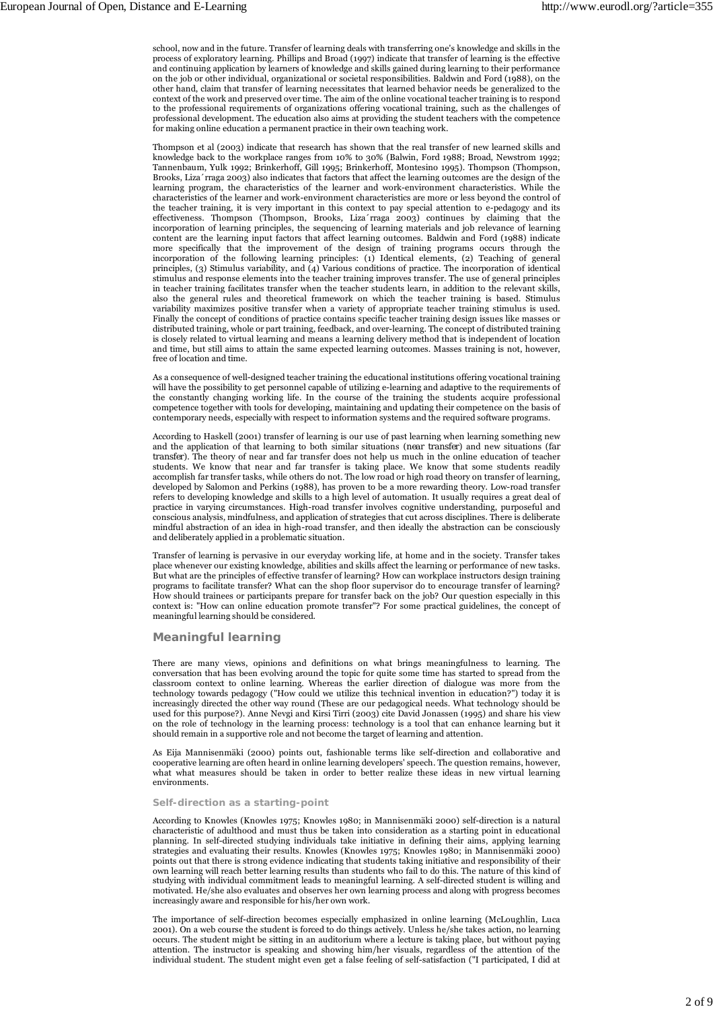school, now and in the future. Transfer of learning deals with transferring one's knowledge and skills in the process of exploratory learning. Phillips and Broad (1997) indicate that transfer of learning is the effective and continuing application by learners of knowledge and skills gained during learning to their performance on the job or other individual, organizational or societal responsibilities. Baldwin and Ford (1988), on the other hand, claim that transfer of learning necessitates that learned behavior needs be generalized to the context of the work and preserved over time. The aim of the online vocational teacher training is to respond to the professional requirements of organizations offering vocational training, such as the challenges of professional development. The education also aims at providing the student teachers with the competence for making online education a permanent practice in their own teaching work.

Thompson et al (2003) indicate that research has shown that the real transfer of new learned skills and knowledge back to the workplace ranges from 10% to 30% (Balwin, Ford 1988; Broad, Newstrom 1992; Tannenbaum, Yulk 1992; Brinkerhoff, Gill 1995; Brinkerhoff, Montesino 1995). Thompson (Thompson, Brooks, Liza´rraga 2003) also indicates that factors that affect the learning outcomes are the design of the learning program, the characteristics of the learner and work-environment characteristics. While the characteristics of the learner and work-environment characteristics are more or less beyond the control of the teacher training, it is very important in this context to pay special attention to e-pedagogy and its effectiveness. Thompson (Thompson, Brooks, Liza´rraga 2003) continues by claiming that the incorporation of learning principles, the sequencing of learning materials and job relevance of learning content are the learning input factors that affect learning outcomes. Baldwin and Ford (1988) indicate more specifically that the improvement of the design of training programs occurs through the incorporation of the following learning principles: (1) Identical elements, (2) Teaching of general principles, (3) Stimulus variability, and (4) Various conditions of practice. The incorporation of identical stimulus and response elements into the teacher training improves transfer. The use of general principles in teacher training facilitates transfer when the teacher students learn, in addition to the relevant skills, also the general rules and theoretical framework on which the teacher training is based. Stimulus variability maximizes positive transfer when a variety of appropriate teacher training stimulus is used. Finally the concept of conditions of practice contains specific teacher training design issues like masses or distributed training, whole or part training, feedback, and over-learning. The concept of distributed training is closely related to virtual learning and means a learning delivery method that is independent of location and time, but still aims to attain the same expected learning outcomes. Masses training is not, however, free of location and time.

As a consequence of well-designed teacher training the educational institutions offering vocational training will have the possibility to get personnel capable of utilizing e-learning and adaptive to the requirements of the constantly changing working life. In the course of the training the students acquire professional competence together with tools for developing, maintaining and updating their competence on the basis of contemporary needs, especially with respect to information systems and the required software programs.

According to Haskell (2001) transfer of learning is our use of past learning when learning something new and the application of that learning to both similar situations *(near transfer*) and new situations (*far transfer*). The theory of near and far transfer does not help us much in the online education of teacher students. We know that near and far transfer is taking place. We know that some students readily accomplish far transfer tasks, while others do not. The low road or high road theory on transfer of learning, developed by Salomon and Perkins (1988), has proven to be a more rewarding theory. Low-road transfer refers to developing knowledge and skills to a high level of automation. It usually requires a great deal of practice in varying circumstances. High-road transfer involves cognitive understanding, purposeful and conscious analysis, mindfulness, and application of strategies that cut across disciplines. There is deliberate mindful abstraction of an idea in high-road transfer, and then ideally the abstraction can be consciously and deliberately applied in a problematic situation.

Transfer of learning is pervasive in our everyday working life, at home and in the society. Transfer takes place whenever our existing knowledge, abilities and skills affect the learning or performance of new tasks. But what are the principles of effective transfer of learning? How can workplace instructors design training programs to facilitate transfer? What can the shop floor supervisor do to encourage transfer of learning? How should trainees or participants prepare for transfer back on the job? Our question especially in this context is: "How can online education promote transfer"? For some practical guidelines, the concept of meaningful learning should be considered.

### **Meaningful learning**

There are many views, opinions and definitions on what brings meaningfulness to learning. The conversation that has been evolving around the topic for quite some time has started to spread from the classroom context to online learning. Whereas the earlier direction of dialogue was more from the technology towards pedagogy ("How could we utilize this technical invention in education?") today it is increasingly directed the other way round (These are our pedagogical needs. What technology should be used for this purpose?). Anne Nevgi and Kirsi Tirri (2003) cite David Jonassen (1995) and share his view on the role of technology in the learning process: technology is a tool that can enhance learning but it should remain in a supportive role and not become the target of learning and attention.

As Eija Mannisenmäki (2000) points out, fashionable terms like self-direction and collaborative and cooperative learning are often heard in online learning developers' speech. The question remains, however, what what measures should be taken in order to better realize these ideas in new virtual learning environments.

#### **Self-direction as a starting-point**

According to Knowles (Knowles 1975; Knowles 1980; in Mannisenmäki 2000) self-direction is a natural characteristic of adulthood and must thus be taken into consideration as a starting point in educational planning. In self-directed studying individuals take initiative in defining their aims, applying learning strategies and evaluating their results. Knowles (Knowles 1975; Knowles 1980; in Mannisenmäki 2000) points out that there is strong evidence indicating that students taking initiative and responsibility of their own learning will reach better learning results than students who fail to do this. The nature of this kind of studying with individual commitment leads to meaningful learning. A self-directed student is willing and motivated. He/she also evaluates and observes her own learning process and along with progress becomes increasingly aware and responsible for his/her own work.

The importance of self-direction becomes especially emphasized in online learning (McLoughlin, Luca 2001). On a web course the student is forced to do things actively. Unless he/she takes action, no learning occurs. The student might be sitting in an auditorium where a lecture is taking place, but without paying attention. The instructor is speaking and showing him/her visuals, regardless of the attention of the individual student. The student might even get a false feeling of self-satisfaction ("I participated, I did at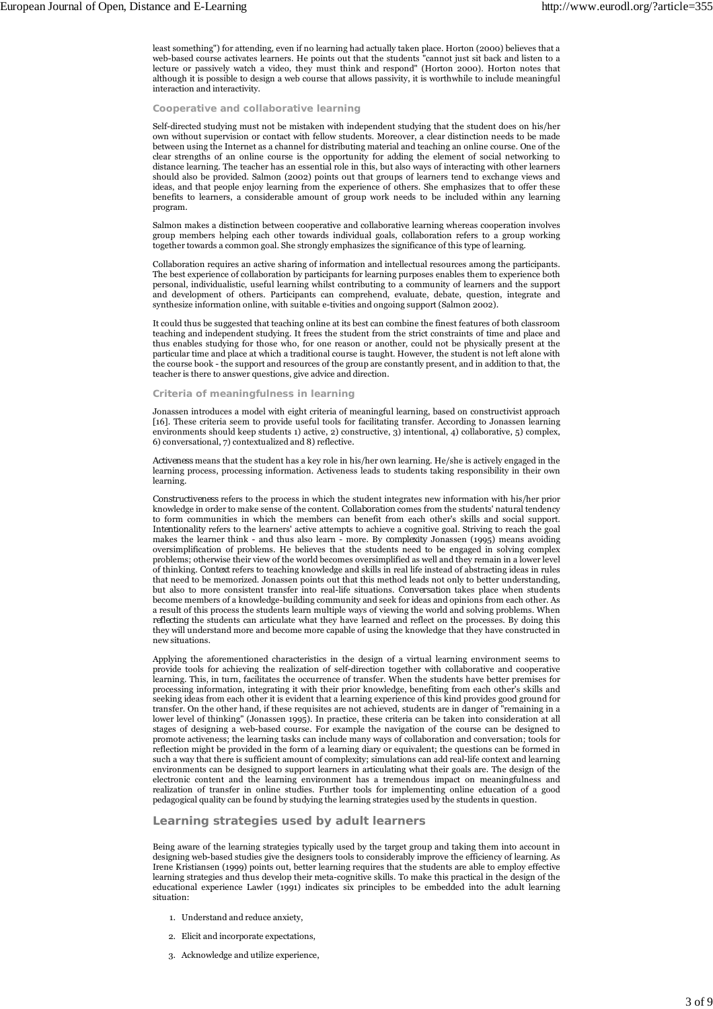least something") for attending, even if no learning had actually taken place. Horton (2000) believes that a web-based course activates learners. He points out that the students "cannot just sit back and listen to a lecture or passively watch a video, they must think and respond" (Horton 2000). Horton notes that although it is possible to design a web course that allows passivity, it is worthwhile to include meaningful interaction and interactivity.

### **Cooperative and collaborative learning**

Self-directed studying must not be mistaken with independent studying that the student does on his/her own without supervision or contact with fellow students. Moreover, a clear distinction needs to be made between using the Internet as a channel for distributing material and teaching an online course. One of the clear strengths of an online course is the opportunity for adding the element of social networking to distance learning. The teacher has an essential role in this, but also ways of interacting with other learners should also be provided. Salmon (2002) points out that groups of learners tend to exchange views and ideas, and that people enjoy learning from the experience of others. She emphasizes that to offer these benefits to learners, a considerable amount of group work needs to be included within any learning program.

Salmon makes a distinction between cooperative and collaborative learning whereas cooperation involves group members helping each other towards individual goals, collaboration refers to a group working together towards a common goal. She strongly emphasizes the significance of this type of learning.

Collaboration requires an active sharing of information and intellectual resources among the participants. The best experience of collaboration by participants for learning purposes enables them to experience both personal, individualistic, useful learning whilst contributing to a community of learners and the support and development of others. Participants can comprehend, evaluate, debate, question, integrate and synthesize information online, with suitable e-tivities and ongoing support (Salmon 2002).

It could thus be suggested that teaching online at its best can combine the finest features of both classroom teaching and independent studying. It frees the student from the strict constraints of time and place and thus enables studying for those who, for one reason or another, could not be physically present at the particular time and place at which a traditional course is taught. However, the student is not left alone with the course book - the support and resources of the group are constantly present, and in addition to that, the teacher is there to answer questions, give advice and direction.

#### **Criteria of meaningfulness in learning**

Jonassen introduces a model with eight criteria of meaningful learning, based on constructivist approach [16]. These criteria seem to provide useful tools for facilitating transfer. According to Jonassen learning environments should keep students 1) active, 2) constructive, 3) intentional, 4) collaborative, 5) complex, 6) conversational, 7) contextualized and 8) reflective.

*Activeness* means that the student has a key role in his/her own learning. He/she is actively engaged in the learning process, processing information. Activeness leads to students taking responsibility in their own learning.

*Constructiveness* refers to the process in which the student integrates new information with his/her prior knowledge in order to make sense of the content. *Collaboration* comes from the students' natural tendency to form communities in which the members can benefit from each other's skills and social support. *Intentionality* refers to the learners' active attempts to achieve a cognitive goal. Striving to reach the goal makes the learner think - and thus also learn - more. By *complexity* Jonassen (1995) means avoiding oversimplification of problems. He believes that the students need to be engaged in solving complex problems; otherwise their view of the world becomes oversimplified as well and they remain in a lower level of thinking. *Context* refers to teaching knowledge and skills in real life instead of abstracting ideas in rules that need to be memorized. Jonassen points out that this method leads not only to better understanding, but also to more consistent transfer into real-life situations. *Conversation* takes place when students become members of a knowledge-building community and seek for ideas and opinions from each other. As a result of this process the students learn multiple ways of viewing the world and solving problems. When *reflecting* the students can articulate what they have learned and reflect on the processes. By doing this they will understand more and become more capable of using the knowledge that they have constructed in new situations.

Applying the aforementioned characteristics in the design of a virtual learning environment seems to provide tools for achieving the realization of self-direction together with collaborative and cooperative learning. This, in turn, facilitates the occurrence of transfer. When the students have better premises for processing information, integrating it with their prior knowledge, benefiting from each other's skills and seeking ideas from each other it is evident that a learning experience of this kind provides good ground for transfer. On the other hand, if these requisites are not achieved, students are in danger of "remaining in a lower level of thinking" (Jonassen 1995). In practice, these criteria can be taken into consideration at all stages of designing a web-based course. For example the navigation of the course can be designed to promote activeness; the learning tasks can include many ways of collaboration and conversation; tools for reflection might be provided in the form of a learning diary or equivalent; the questions can be formed in such a way that there is sufficient amount of complexity; simulations can add real-life context and learning environments can be designed to support learners in articulating what their goals are. The design of the electronic content and the learning environment has a tremendous impact on meaningfulness and realization of transfer in online studies. Further tools for implementing online education of a good pedagogical quality can be found by studying the learning strategies used by the students in question.

# **Learning strategies used by adult learners**

Being aware of the learning strategies typically used by the target group and taking them into account in designing web-based studies give the designers tools to considerably improve the efficiency of learning. As Irene Kristiansen (1999) points out, better learning requires that the students are able to employ effective learning strategies and thus develop their meta-cognitive skills. To make this practical in the design of the educational experience Lawler (1991) indicates six principles to be embedded into the adult learning situation:

- 1. Understand and reduce anxiety,
- 2. Elicit and incorporate expectations,
- 3. Acknowledge and utilize experience,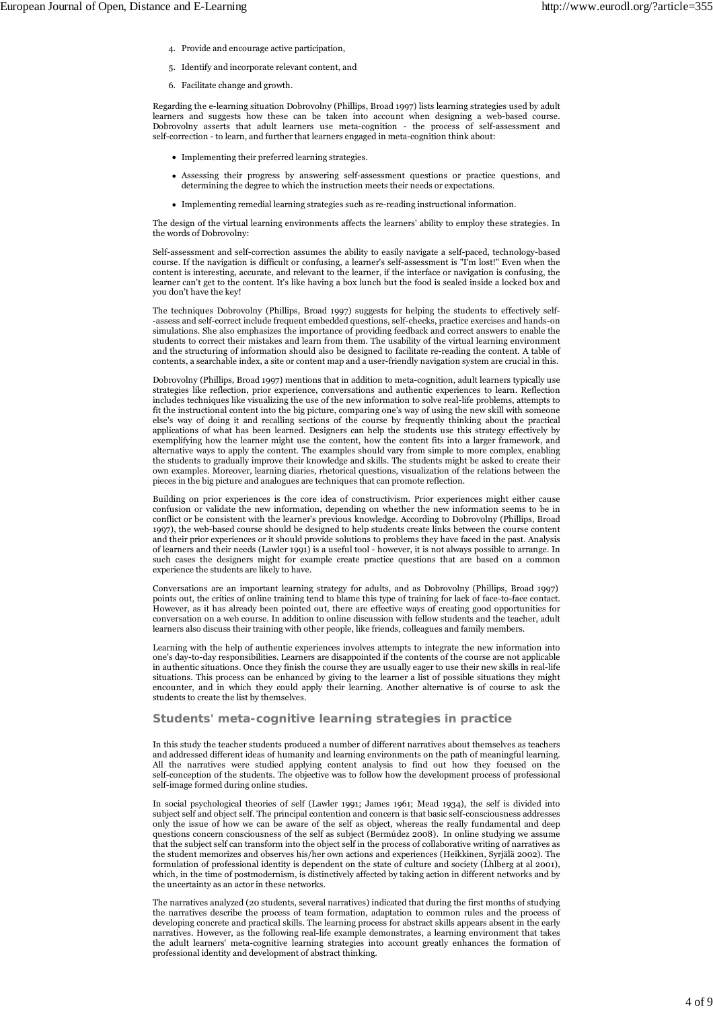- 4. Provide and encourage active participation,
- 5. Identify and incorporate relevant content, and
- 6. Facilitate change and growth.

Regarding the e-learning situation Dobrovolny (Phillips, Broad 1997) lists learning strategies used by adult learners and suggests how these can be taken into account when designing a web-based course. Dobrovolny asserts that adult learners use meta-cognition - the process of self-assessment and self-correction - to learn, and further that learners engaged in meta-cognition think about:

- Implementing their preferred learning strategies.
- Assessing their progress by answering self-assessment questions or practice questions, and determining the degree to which the instruction meets their needs or expectations.
- Implementing remedial learning strategies such as re-reading instructional information.

The design of the virtual learning environments affects the learners' ability to employ these strategies. In the words of Dobrovolny:

Self-assessment and self-correction assumes the ability to easily navigate a self-paced, technology-based course. If the navigation is difficult or confusing, a learner's self-assessment is "I'm lost!" Even when the content is interesting, accurate, and relevant to the learner, if the interface or navigation is confusing, the learner can't get to the content. It's like having a box lunch but the food is sealed inside a locked box and you don't have the key!

The techniques Dobrovolny (Phillips, Broad 1997) suggests for helping the students to effectively self- -assess and self-correct include frequent embedded questions, self-checks, practice exercises and hands-on simulations. She also emphasizes the importance of providing feedback and correct answers to enable the students to correct their mistakes and learn from them. The usability of the virtual learning environment and the structuring of information should also be designed to facilitate re-reading the content. A table of contents, a searchable index, a site or content map and a user-friendly navigation system are crucial in this.

Dobrovolny (Phillips, Broad 1997) mentions that in addition to meta-cognition, adult learners typically use strategies like reflection, prior experience, conversations and authentic experiences to learn. Reflection includes techniques like visualizing the use of the new information to solve real-life problems, attempts to fit the instructional content into the big picture, comparing one's way of using the new skill with someone else's way of doing it and recalling sections of the course by frequently thinking about the practical applications of what has been learned. Designers can help the students use this strategy effectively by exemplifying how the learner might use the content, how the content fits into a larger framework, and alternative ways to apply the content. The examples should vary from simple to more complex, enabling the students to gradually improve their knowledge and skills. The students might be asked to create their own examples. Moreover, learning diaries, rhetorical questions, visualization of the relations between the pieces in the big picture and analogues are techniques that can promote reflection.

Building on prior experiences is the core idea of constructivism. Prior experiences might either cause confusion or validate the new information, depending on whether the new information seems to be in conflict or be consistent with the learner's previous knowledge. According to Dobrovolny (Phillips, Broad 1997), the web-based course should be designed to help students create links between the course content and their prior experiences or it should provide solutions to problems they have faced in the past. Analysis of learners and their needs (Lawler 1991) is a useful tool - however, it is not always possible to arrange. In such cases the designers might for example create practice questions that are based on a common experience the students are likely to have.

Conversations are an important learning strategy for adults, and as Dobrovolny (Phillips, Broad 1997) points out, the critics of online training tend to blame this type of training for lack of face-to-face contact. However, as it has already been pointed out, there are effective ways of creating good opportunities for conversation on a web course. In addition to online discussion with fellow students and the teacher, adult learners also discuss their training with other people, like friends, colleagues and family members.

Learning with the help of authentic experiences involves attempts to integrate the new information into one's day-to-day responsibilities. Learners are disappointed if the contents of the course are not applicable in authentic situations. Once they finish the course they are usually eager to use their new skills in real-life situations. This process can be enhanced by giving to the learner a list of possible situations they might encounter, and in which they could apply their learning. Another alternative is of course to ask the students to create the list by themselves.

## **Students' meta-cognitive learning strategies in practice**

In this study the teacher students produced a number of different narratives about themselves as teachers and addressed different ideas of humanity and learning environments on the path of meaningful learning. All the narratives were studied applying content analysis to find out how they focused on the self-conception of the students. The objective was to follow how the development process of professional self-image formed during online studies.

In social psychological theories of self (Lawler 1991; James 1961; Mead 1934), the self is divided into subject self and object self. The principal contention and concern is that basic self-consciousness addresses only the issue of how we can be aware of the self as object, whereas the really fundamental and deep questions concern consciousness of the self as subject (Bermúdez 2008). In online studying we assume that the subject self can transform into the object self in the process of collaborative writing of narratives as the student memorizes and observes his/her own actions and experiences (Heikkinen, Syrjälä 2002). The formulation of professional identity is dependent on the state of culture and society (Lhlberg at al 2001), which, in the time of postmodernism, is distinctively affected by taking action in different networks and by the uncertainty as an actor in these networks.

The narratives analyzed (20 students, several narratives) indicated that during the first months of studying the narratives describe the process of team formation, adaptation to common rules and the process of developing concrete and practical skills. The learning process for abstract skills appears absent in the early narratives. However, as the following real-life example demonstrates, a learning environment that takes the adult learners' meta-cognitive learning strategies into account greatly enhances the formation of professional identity and development of abstract thinking.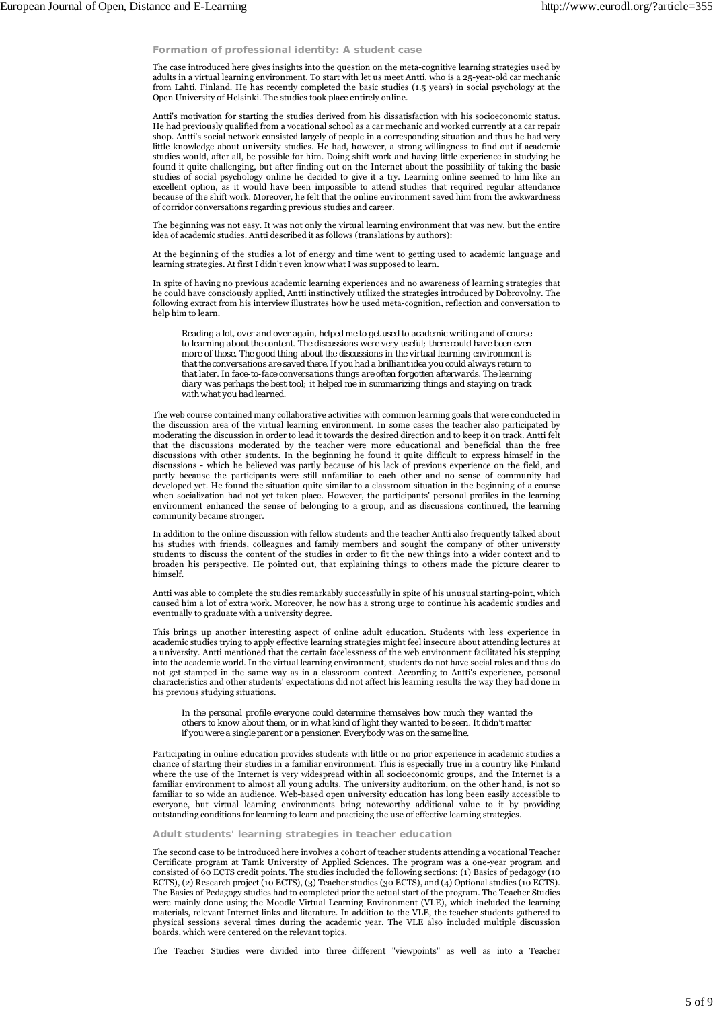## **Formation of professional identity: A student case**

The case introduced here gives insights into the question on the meta-cognitive learning strategies used by adults in a virtual learning environment. To start with let us meet Antti, who is a 25-year-old car mechanic from Lahti, Finland. He has recently completed the basic studies (1.5 years) in social psychology at the Open University of Helsinki. The studies took place entirely online.

Antti's motivation for starting the studies derived from his dissatisfaction with his socioeconomic status. He had previously qualified from a vocational school as a car mechanic and worked currently at a car repair shop. Antti's social network consisted largely of people in a corresponding situation and thus he had very little knowledge about university studies. He had, however, a strong willingness to find out if academic studies would, after all, be possible for him. Doing shift work and having little experience in studying he found it quite challenging, but after finding out on the Internet about the possibility of taking the basic studies of social psychology online he decided to give it a try. Learning online seemed to him like an excellent option, as it would have been impossible to attend studies that required regular attendance because of the shift work. Moreover, he felt that the online environment saved him from the awkwardness of corridor conversations regarding previous studies and career.

The beginning was not easy. It was not only the virtual learning environment that was new, but the entire idea of academic studies. Antti described it as follows (translations by authors):

At the beginning of the studies a lot of energy and time went to getting used to academic language and learning strategies. At first I didn't even know what I was supposed to learn.

In spite of having no previous academic learning experiences and no awareness of learning strategies that he could have consciously applied, Antti instinctively utilized the strategies introduced by Dobrovolny. The following extract from his interview illustrates how he used meta-cognition, reflection and conversation to help him to learn.

*Reading a lot, over and over again, helped me to get used to academic writing and of course to learning about the content. The discussions were very useful; there could have been even more of those. The good thing about the discussions in the virtual learning environment is that the conversations are saved there. If you had a brilliant idea you could always return to that later. In face-to-face conversations things are often forgotten afterwards. The learning diary was perhaps the best tool; it helped me in summarizing things and staying on track with what you had learned.*

The web course contained many collaborative activities with common learning goals that were conducted in the discussion area of the virtual learning environment. In some cases the teacher also participated by moderating the discussion in order to lead it towards the desired direction and to keep it on track. Antti felt that the discussions moderated by the teacher were more educational and beneficial than the free discussions with other students. In the beginning he found it quite difficult to express himself in the discussions - which he believed was partly because of his lack of previous experience on the field, and partly because the participants were still unfamiliar to each other and no sense of community had developed yet. He found the situation quite similar to a classroom situation in the beginning of a course when socialization had not yet taken place. However, the participants' personal profiles in the learning environment enhanced the sense of belonging to a group, and as discussions continued, the learning community became stronger.

In addition to the online discussion with fellow students and the teacher Antti also frequently talked about his studies with friends, colleagues and family members and sought the company of other university students to discuss the content of the studies in order to fit the new things into a wider context and to broaden his perspective. He pointed out, that explaining things to others made the picture clearer to himself.

Antti was able to complete the studies remarkably successfully in spite of his unusual starting-point, which caused him a lot of extra work. Moreover, he now has a strong urge to continue his academic studies and eventually to graduate with a university degree.

This brings up another interesting aspect of online adult education. Students with less experience in academic studies trying to apply effective learning strategies might feel insecure about attending lectures at a university. Antti mentioned that the certain facelessness of the web environment facilitated his stepping into the academic world. In the virtual learning environment, students do not have social roles and thus do not get stamped in the same way as in a classroom context. According to Antti's experience, personal characteristics and other students' expectations did not affect his learning results the way they had done in his previous studying situations.

#### *In the personal profile everyone could determine themselves how much they wanted the others to know about them, or in what kind of light they wanted to be seen. It didn't matter if you were a single parent or a pensioner. Everybody was on the same line.*

Participating in online education provides students with little or no prior experience in academic studies a chance of starting their studies in a familiar environment. This is especially true in a country like Finland where the use of the Internet is very widespread within all socioeconomic groups, and the Internet is a familiar environment to almost all young adults. The university auditorium, on the other hand, is not so familiar to so wide an audience. Web-based open university education has long been easily accessible to everyone, but virtual learning environments bring noteworthy additional value to it by providing outstanding conditions for learning to learn and practicing the use of effective learning strategies.

### **Adult students' learning strategies in teacher education**

The second case to be introduced here involves a cohort of teacher students attending a vocational Teacher Certificate program at Tamk University of Applied Sciences. The program was a one-year program and consisted of 60 ECTS credit points. The studies included the following sections: (1) Basics of pedagogy (10 ECTS), (2) Research project (10 ECTS), (3) Teacher studies (30 ECTS), and (4) Optional studies (10 ECTS). The Basics of Pedagogy studies had to completed prior the actual start of the program. The Teacher Studies were mainly done using the Moodle Virtual Learning Environment (VLE), which included the learning materials, relevant Internet links and literature. In addition to the VLE, the teacher students gathered to physical sessions several times during the academic year. The VLE also included multiple discussion boards, which were centered on the relevant topics.

The Teacher Studies were divided into three different "viewpoints" as well as into a Teacher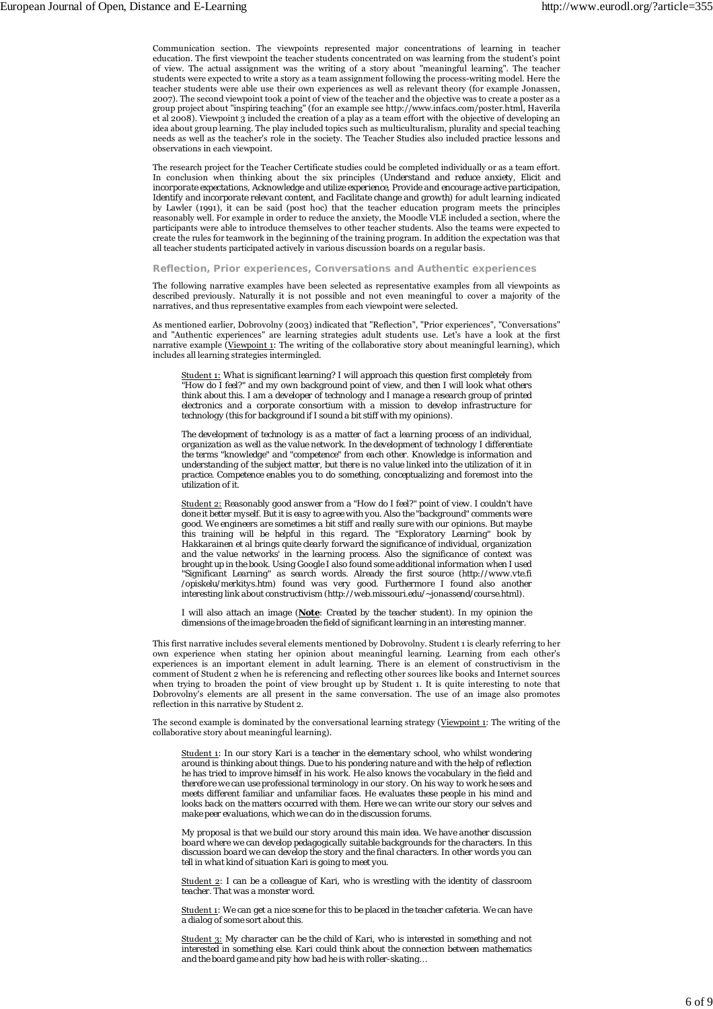Communication section. The viewpoints represented major concentrations of learning in teacher education. The first viewpoint the teacher students concentrated on was learning from the student's point of view. The actual assignment was the writing of a story about "meaningful learning". The teacher students were expected to write a story as a team assignment following the process-writing model. Here the teacher students were able use their own experiences as well as relevant theory (for example Jonassen, 2007). The second viewpoint took a point of view of the teacher and the objective was to create a poster as a group project about "inspiring teaching" (for an example see http://www.infacs.com/poster.html, Haverila et al 2008). Viewpoint 3 included the creation of a play as a team effort with the objective of developing an idea about group learning. The play included topics such as multiculturalism, plurality and special teaching needs as well as the teacher's role in the society. The Teacher Studies also included practice lessons and observations in each viewpoint.

The research project for the Teacher Certificate studies could be completed individually or as a team effort. In conclusion when thinking about the six principles (*Understand and reduce anxiety, Elicit and incorporate expectations, Acknowledge and utilize experience, Provide and encourage active participation, Identify and incorporate relevant content, and Facilitate change and growth*) for adult learning indicated by Lawler (1991), it can be said (post hoc) that the teacher education program meets the principles reasonably well. For example in order to reduce the anxiety, the Moodle VLE included a section, where the participants were able to introduce themselves to other teacher students. Also the teams were expected to create the rules for teamwork in the beginning of the training program. In addition the expectation was that all teacher students participated actively in various discussion boards on a regular basis.

**Reflection, Prior experiences, Conversations and Authentic experiences**

The following narrative examples have been selected as representative examples from all viewpoints as described previously. Naturally it is not possible and not even meaningful to cover a majority of the narratives, and thus representative examples from each viewpoint were selected.

As mentioned earlier, Dobrovolny (2003) indicated that "Reflection", "Prior experiences", "Conversations" and "Authentic experiences" are learning strategies adult students use. Let's have a look at the first narrative example (Viewpoint 1: The writing of the collaborative story about meaningful learning), which includes all learning strategies intermingled.

Student 1: *What is significant learning? I will approach this question first completely from "How do I feel?" and my own background point of view, and then I will look what others think about this. I am a developer of technology and I manage a research group of printed electronics and a corporate consortium with a mission to develop infrastructure for technology (this for background if I sound a bit stiff with my opinions).*

*The development of technology is as a matter of fact a learning process of an individual, organization as well as the value network. In the development of technology I differentiate the terms "knowledge" and "competence" from each other. Knowledge is information and understanding of the subject matter, but there is no value linked into the utilization of it in practice. Competence enables you to do something, conceptualizing and foremost into the utilization of it.*

Student 2: *Reasonably good answer from a "How do I feel?" point of view. I couldn't have done it better myself. But it is easy to agree with you. Also the "background" comments were good. We engineers are sometimes a bit stiff and really sure with our opinions. But maybe this training will be helpful in this regard. The "Exploratory Learning" book by Hakkarainen et al brings quite clearly forward the significance of individual, organization and the value networks' in the learning process. Also the significance of context was brought up in the book. Using Google I also found some additional information when I used "Significant Learning" as search words. Already the first source (http://www.vte.fi /opiskelu/merkitys.htm) found was very good. Furthermore I found also another interesting link about constructivism (http://web.missouri.edu/~jonassend/course.html).*

*I will also attach an image (Note: Created by the teacher student). In my opinion the dimensions of the image broaden the field of significant learning in an interesting manner.*

This first narrative includes several elements mentioned by Dobrovolny. Student 1 is clearly referring to her own experience when stating her opinion about meaningful learning. Learning from each other's experiences is an important element in adult learning. There is an element of constructivism in the comment of Student 2 when he is referencing and reflecting other sources like books and Internet sources when trying to broaden the point of view brought up by Student 1. It is quite interesting to note that Dobrovolny's elements are all present in the same conversation. The use of an image also promotes reflection in this narrative by Student 2.

The second example is dominated by the conversational learning strategy (Viewpoint 1: The writing of the collaborative story about meaningful learning).

Student 1: *In our story Kari is a teacher in the elementary school, who whilst wondering around is thinking about things. Due to his pondering nature and with the help of reflection he has tried to improve himself in his work. He also knows the vocabulary in the field and therefore we can use professional terminology in our story. On his way to work he sees and meets different familiar and unfamiliar faces. He evaluates these people in his mind and looks back on the matters occurred with them. Here we can write our story our selves and make peer evaluations, which we can do in the discussion forums.*

*My proposal is that we build our story around this main idea. We have another discussion board where we can develop pedagogically suitable backgrounds for the characters. In this discussion board we can develop the story and the final characters. In other words you can tell in what kind of situation Kari is going to meet you.*

Student 2: *I can be a colleague of Kari, who is wrestling with the identity of classroom teacher. That was a monster word.*

Student 1: *We can get a nice scene for this to be placed in the teacher cafeteria. We can have a dialog of some sort about this.*

Student 3: *My character can be the child of Kari, who is interested in something and not interested in something else. Kari could think about the connection between mathematics and the board game and pity how bad he is with roller-skating…*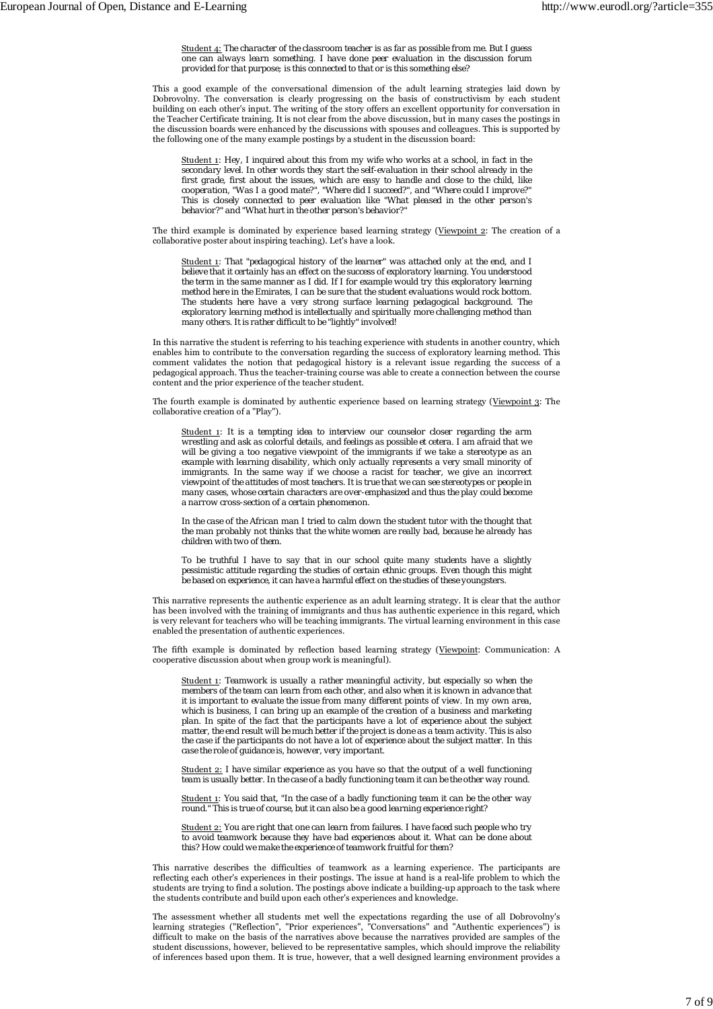Student 4: *The character of the classroom teacher is as far as possible from me. But I guess one can always learn something. I have done peer evaluation in the discussion forum provided for that purpose; is this connected to that or is this something else?*

This a good example of the conversational dimension of the adult learning strategies laid down by Dobrovolny. The conversation is clearly progressing on the basis of constructivism by each student building on each other's input. The writing of the story offers an excellent opportunity for conversation in the Teacher Certificate training. It is not clear from the above discussion, but in many cases the postings in the discussion boards were enhanced by the discussions with spouses and colleagues. This is supported by the following one of the many example postings by a student in the discussion board:

Student 1: *Hey, I inquired about this from my wife who works at a school, in fact in the secondary level. In other words they start the self-evaluation in their school already in the first grade, first about the issues, which are easy to handle and close to the child, like cooperation, "Was I a good mate?", "Where did I succeed?", and "Where could I improve?" This is closely connected to peer evaluation like "What pleased in the other person's behavior?" and "What hurt in the other person's behavior?"*

The third example is dominated by experience based learning strategy (Viewpoint 2: The creation of a collaborative poster about inspiring teaching). Let's have a look.

Student 1: *That "pedagogical history of the learner" was attached only at the end, and I believe that it certainly has an effect on the success of exploratory learning. You understood the term in the same manner as I did. If I for example would try this exploratory learning method here in the Emirates, I can be sure that the student evaluations would rock bottom. The students here have a very strong surface learning pedagogical background. The exploratory learning method is intellectually and spiritually more challenging method than many others. It is rather difficult to be "lightly" involved!*

In this narrative the student is referring to his teaching experience with students in another country, which enables him to contribute to the conversation regarding the success of exploratory learning method. This comment validates the notion that pedagogical history is a relevant issue regarding the success of a pedagogical approach. Thus the teacher-training course was able to create a connection between the course content and the prior experience of the teacher student.

The fourth example is dominated by authentic experience based on learning strategy (Viewpoint 3: The collaborative creation of a "Play").

Student 1: *It is a tempting idea to interview our counselor closer regarding the arm wrestling and ask as colorful details, and feelings as possible et cetera. I am afraid that we will be giving a too negative viewpoint of the immigrants if we take a stereotype as an example with learning disability, which only actually represents a very small minority of immigrants. In the same way if we choose a racist for teacher, we give an incorrect viewpoint of the attitudes of most teachers. It is true that we can see stereotypes or people in many cases, whose certain characters are over-emphasized and thus the play could become a narrow cross-section of a certain phenomenon.*

*In the case of the African man I tried to calm down the student tutor with the thought that the man probably not thinks that the white women are really bad, because he already has children with two of them.*

*To be truthful I have to say that in our school quite many students have a slightly pessimistic attitude regarding the studies of certain ethnic groups. Even though this might be based on experience, it can have a harmful effect on the studies of these youngsters.*

This narrative represents the authentic experience as an adult learning strategy. It is clear that the author has been involved with the training of immigrants and thus has authentic experience in this regard, which is very relevant for teachers who will be teaching immigrants. The virtual learning environment in this case enabled the presentation of authentic experiences.

The fifth example is dominated by reflection based learning strategy (Viewpoint: Communication: A cooperative discussion about when group work is meaningful).

Student 1: *Teamwork is usually a rather meaningful activity, but especially so when the members of the team can learn from each other, and also when it is known in advance that it is important to evaluate the issue from many different points of view. In my own area, which is business, I can bring up an example of the creation of a business and marketing plan. In spite of the fact that the participants have a lot of experience about the subject matter, the end result will be much better if the project is done as a team activity. This is also the case if the participants do not have a lot of experience about the subject matter. In this case the role of guidance is, however, very important.*

Student 2: *I have similar experience as you have so that the output of a well functioning team is usually better. In the case of a badly functioning team it can be the other way round.*

Student 1: *You said that, "In the case of a badly functioning team it can be the other way round." This is true of course, but it can also be a good learning experience right?*

Student 2: *You are right that one can learn from failures. I have faced such people who try to avoid teamwork because they have bad experiences about it. What can be done about this? How could we make the experience of teamwork fruitful for them?*

This narrative describes the difficulties of teamwork as a learning experience. The participants are reflecting each other's experiences in their postings. The issue at hand is a real-life problem to which the students are trying to find a solution. The postings above indicate a building-up approach to the task where the students contribute and build upon each other's experiences and knowledge.

The assessment whether all students met well the expectations regarding the use of all Dobrovolny's learning strategies ("Reflection", "Prior experiences", "Conversations" and "Authentic experiences") is difficult to make on the basis of the narratives above because the narratives provided are samples of the student discussions, however, believed to be representative samples, which should improve the reliability of inferences based upon them. It is true, however, that a well designed learning environment provides a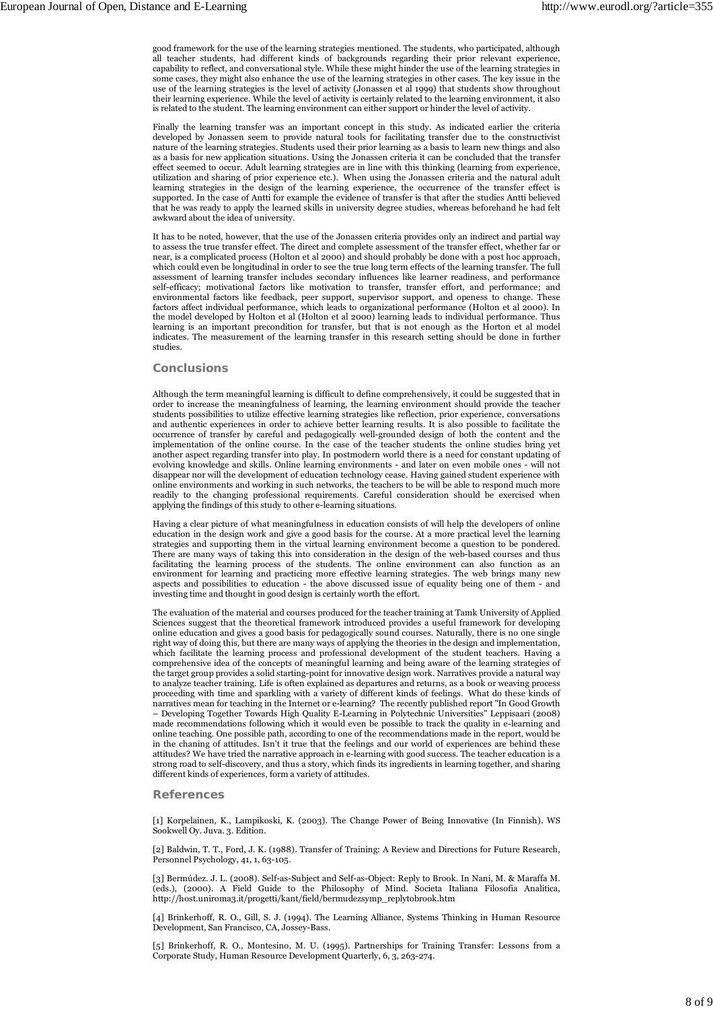good framework for the use of the learning strategies mentioned. The students, who participated, although all teacher students, had different kinds of backgrounds regarding their prior relevant experience, capability to reflect, and conversational style. While these might hinder the use of the learning strategies in some cases, they might also enhance the use of the learning strategies in other cases. The key issue in the use of the learning strategies is the level of activity (Jonassen et al 1999) that students show throughout their learning experience. While the level of activity is certainly related to the learning environment, it also is related to the student. The learning environment can either support or hinder the level of activity.

Finally the learning transfer was an important concept in this study. As indicated earlier the criteria developed by Jonassen seem to provide natural tools for facilitating transfer due to the constructivist nature of the learning strategies. Students used their prior learning as a basis to learn new things and also as a basis for new application situations. Using the Jonassen criteria it can be concluded that the transfer effect seemed to occur. Adult learning strategies are in line with this thinking (learning from experience, utilization and sharing of prior experience etc.). When using the Jonassen criteria and the natural adult learning strategies in the design of the learning experience, the occurrence of the transfer effect is supported. In the case of Antti for example the evidence of transfer is that after the studies Antti believed that he was ready to apply the learned skills in university degree studies, whereas beforehand he had felt awkward about the idea of university.

It has to be noted, however, that the use of the Jonassen criteria provides only an indirect and partial way to assess the true transfer effect. The direct and complete assessment of the transfer effect, whether far or near, is a complicated process (Holton et al 2000) and should probably be done with a post hoc approach, which could even be longitudinal in order to see the true long term effects of the learning transfer. The full assessment of learning transfer includes secondary influences like learner readiness, and performance self-efficacy; motivational factors like motivation to transfer, transfer effort, and performance; and environmental factors like feedback, peer support, supervisor support, and openess to change. These factors affect individual performance, which leads to organizational performance (Holton et al 2000). In the model developed by Holton et al (Holton et al 2000) learning leads to individual performance. Thus learning is an important precondition for transfer, but that is not enough as the Horton et al model indicates. The measurement of the learning transfer in this research setting should be done in further studies.

### **Conclusions**

Although the term meaningful learning is difficult to define comprehensively, it could be suggested that in order to increase the meaningfulness of learning, the learning environment should provide the teacher students possibilities to utilize effective learning strategies like reflection, prior experience, conversations and authentic experiences in order to achieve better learning results. It is also possible to facilitate the occurrence of transfer by careful and pedagogically well-grounded design of both the content and the implementation of the online course. In the case of the teacher students the online studies bring yet another aspect regarding transfer into play. In postmodern world there is a need for constant updating of evolving knowledge and skills. Online learning environments - and later on even mobile ones - will not disappear nor will the development of education technology cease. Having gained student experience with online environments and working in such networks, the teachers to be will be able to respond much more readily to the changing professional requirements. Careful consideration should be exercised when applying the findings of this study to other e-learning situations.

Having a clear picture of what meaningfulness in education consists of will help the developers of online education in the design work and give a good basis for the course. At a more practical level the learning strategies and supporting them in the virtual learning environment become a question to be pondered. There are many ways of taking this into consideration in the design of the web-based courses and thus facilitating the learning process of the students. The online environment can also function as an environment for learning and practicing more effective learning strategies. The web brings many new aspects and possibilities to education - the above discussed issue of equality being one of them - and investing time and thought in good design is certainly worth the effort.

The evaluation of the material and courses produced for the teacher training at Tamk University of Applied Sciences suggest that the theoretical framework introduced provides a useful framework for developing online education and gives a good basis for pedagogically sound courses. Naturally, there is no one single right way of doing this, but there are many ways of applying the theories in the design and implementation, which facilitate the learning process and professional development of the student teachers. Having a comprehensive idea of the concepts of meaningful learning and being aware of the learning strategies of the target group provides a solid starting-point for innovative design work. Narratives provide a natural way to analyze teacher training. Life is often explained as departures and returns, as a book or weaving process proceeding with time and sparkling with a variety of different kinds of feelings. What do these kinds of narratives mean for teaching in the Internet or e-learning? The recently published report "In Good Growth – Developing Together Towards High Quality E-Learning in Polytechnic Universities" Leppisaari (2008) made recommendations following which it would even be possible to track the quality in e-learning and online teaching. One possible path, according to one of the recommendations made in the report, would be in the chaning of attitudes. Isn't it true that the feelings and our world of experiences are behind these attitudes? We have tried the narrative approach in e-learning with good success. The teacher education is a strong road to self-discovery, and thus a story, which finds its ingredients in learning together, and sharing different kinds of experiences, form a variety of attitudes.

### **References**

[1] Korpelainen, K., Lampikoski, K. (2003). The Change Power of Being Innovative (In Finnish). WS Sookwell Oy. Juva. 3. Edition.

[2] Baldwin, T. T., Ford, J. K. (1988). Transfer of Training: A Review and Directions for Future Research, Personnel Psychology, 41, 1, 63-105.

[3] Bermúdez. J. L. (2008). Self-as-Subject and Self-as-Object: Reply to Brook. In Nani, M. & Maraffa M. (eds.), (2000). A Field Guide to the Philosophy of Mind. Societa Italiana Filosofia Analitica, http://host.uniroma3.it/progetti/kant/field/bermudezsymp\_replytobrook.htm

[4] Brinkerhoff, R. O., Gill, S. J. (1994). The Learning Alliance, Systems Thinking in Human Resource Development, San Francisco, CA, Jossey-Bass.

[5] Brinkerhoff, R. O., Montesino, M. U. (1995). Partnerships for Training Transfer: Lessons from a Corporate Study, Human Resource Development Quarterly, 6, 3, 263-274.